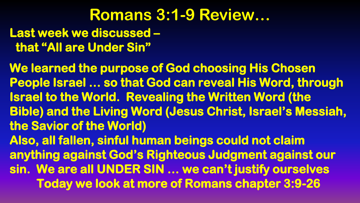#### **Romans 3:1-9 Review… Last week we discussed – that "All are Under Sin"**

**We learned the purpose of God choosing His Chosen People Israel … so that God can reveal His Word, through Israel to the World. Revealing the Written Word (the Bible) and the Living Word (Jesus Christ, Israel's Messiah, the Savior of the World) Also, all fallen, sinful human beings could not claim anything against God's Righteous Judgment against our sin. We are all UNDER SIN … we can't justify ourselves Today we look at more of Romans chapter 3:9-26**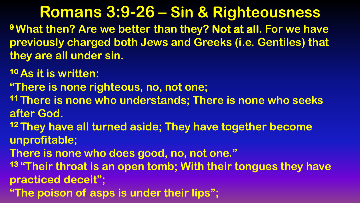**<sup>9</sup>What then? Are we better than they? Not at all. For we have previously charged both Jews and Greeks (i.e. Gentiles) that they are all under sin.**

**<sup>10</sup>As it is written:**

**"There is none righteous, no, not one;**

**<sup>11</sup>There is none who understands; There is none who seeks after God.**

**<sup>12</sup>They have all turned aside; They have together become unprofitable;**

**There is none who does good, no, not one."**

**<sup>13</sup>"Their throat is an open tomb; With their tongues they have practiced deceit";**

**"The poison of asps is under their lips";**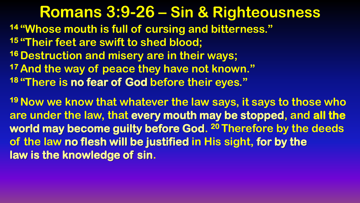**"Whose mouth is full of cursing and bitterness." "Their feet are swift to shed blood; Destruction and misery are in their ways; And the way of peace they have not known." "There is no fear of God before their eyes."**

**<sup>19</sup>Now we know that whatever the law says, it says to those who are under the law, that every mouth may be stopped, and all the world may become guilty before God. <sup>20</sup>Therefore by the deeds of the law no flesh will be justified in His sight, for by the law is the knowledge of sin.**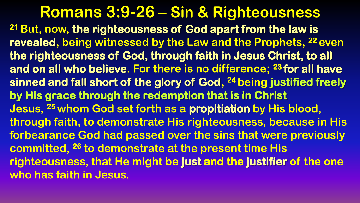**Romans 3:9-26 – Sin & Righteousness <sup>21</sup>But, now, the righteousness of God apart from the law is revealed, being witnessed by the Law and the Prophets, <sup>22</sup>even the righteousness of God, through faith in Jesus Christ, to all and on all who believe. For there is no difference; <sup>23</sup> for all have sinned and fall short of the glory of God, <sup>24</sup>being justified freely by His grace through the redemption that is in Christ Jesus, <sup>25</sup>whom God set forth as a propitiation by His blood, through faith, to demonstrate His righteousness, because in His forbearance God had passed over the sins that were previously committed, <sup>26</sup> to demonstrate at the present time His righteousness, that He might be just and the justifier of the one who has faith in Jesus.**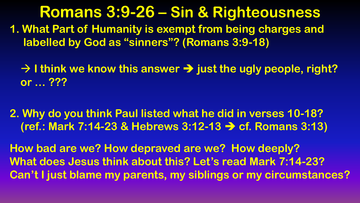- **1. What Part of Humanity is exempt from being charges and labelled by God as "sinners"? (Romans 3:9-18)**
	- **→ I think we know this answer → just the ugly people, right? or … ???**
- **2. Why do you think Paul listed what he did in verses 10-18? (ref.: Mark 7:14-23 & Hebrews 3:12-13 cf. Romans 3:13)**
- **How bad are we? How depraved are we? How deeply? What does Jesus think about this? Let's read Mark 7:14-23? Can't I just blame my parents, my siblings or my circumstances?**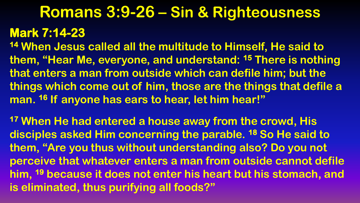#### **Mark 7:14-23**

**<sup>14</sup> When Jesus called all the multitude to Himself, He said to them, "Hear Me, everyone, and understand: <sup>15</sup> There is nothing that enters a man from outside which can defile him; but the things which come out of him, those are the things that defile a man. <sup>16</sup> If anyone has ears to hear, let him hear!"**

**<sup>17</sup> When He had entered a house away from the crowd, His disciples asked Him concerning the parable. <sup>18</sup> So He said to them, "Are you thus without understanding also? Do you not perceive that whatever enters a man from outside cannot defile him, <sup>19</sup> because it does not enter his heart but his stomach, and is eliminated, thus purifying all foods?"**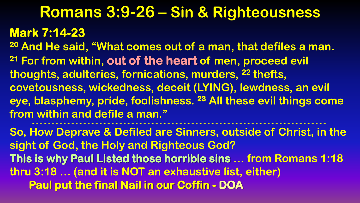#### **Mark 7:14-23**

**<sup>20</sup> And He said, "What comes out of a man, that defiles a man. <sup>21</sup> For from within, out of the heart of men, proceed evil thoughts, adulteries, fornications, murders, <sup>22</sup> thefts, covetousness, wickedness, deceit (LYING), lewdness, an evil eye, blasphemy, pride, foolishness. <sup>23</sup> All these evil things come from within and defile a man."**

**So, How Deprave & Defiled are Sinners, outside of Christ, in the sight of God, the Holy and Righteous God? This is why Paul Listed those horrible sins … from Romans 1:18 thru 3:18 … (and it is NOT an exhaustive list, either) Paul put the final Nail in our Coffin - DOA**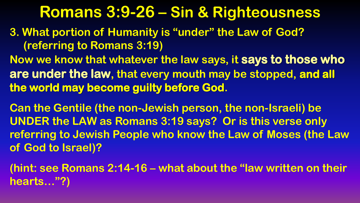- **3. What portion of Humanity is "under" the Law of God? (referring to Romans 3:19)**
- **Now we know that whatever the law says, it says to those who are under the law, that every mouth may be stopped, and all the world may become guilty before God.**

**Can the Gentile (the non-Jewish person, the non-Israeli) be UNDER the LAW as Romans 3:19 says? Or is this verse only referring to Jewish People who know the Law of Moses (the Law of God to Israel)?**

**(hint: see Romans 2:14-16 – what about the "law written on their hearts…"?)**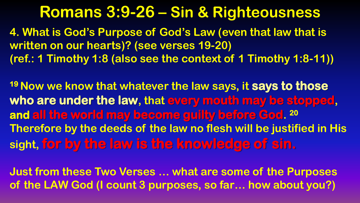**4. What is God's Purpose of God's Law (even that law that is written on our hearts)? (see verses 19-20) (ref.: 1 Timothy 1:8 (also see the context of 1 Timothy 1:8-11))**

**<sup>19</sup>Now we know that whatever the law says, it says to those who are under the law, that every mouth may be stopped, and all the world may become guilty before God. 20 Therefore by the deeds of the law no flesh will be justified in His sight, for by the law is the knowledge of sin.**

**Just from these Two Verses … what are some of the Purposes of the LAW God (I count 3 purposes, so far… how about you?)**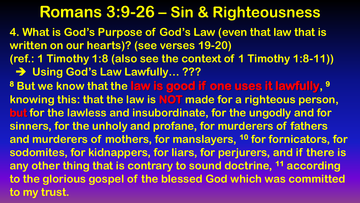**4. What is God's Purpose of God's Law (even that law that is written on our hearts)? (see verses 19-20) (ref.: 1 Timothy 1:8 (also see the context of 1 Timothy 1:8-11))**

 **→ Using God's Law Lawfully… ???** 

**<sup>8</sup> But we know that the law is good if one uses it lawfully, 9 knowing this: that the law is NOT made for a righteous person, but for the lawless and insubordinate, for the ungodly and for sinners, for the unholy and profane, for murderers of fathers and murderers of mothers, for manslayers, <sup>10</sup> for fornicators, for sodomites, for kidnappers, for liars, for perjurers, and if there is any other thing that is contrary to sound doctrine, <sup>11</sup> according to the glorious gospel of the blessed God which was committed to my trust.**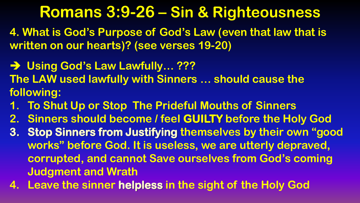**4. What is God's Purpose of God's Law (even that law that is written on our hearts)? (see verses 19-20)**

- **→ Using God's Law Lawfully… ??? The LAW used lawfully with Sinners … should cause the following:**
- **1. To Shut Up or Stop The Prideful Mouths of Sinners**
- **2. Sinners should become / feel GUILTY before the Holy God**
- **3. Stop Sinners from Justifying themselves by their own "good works" before God. It is useless, we are utterly depraved, corrupted, and cannot Save ourselves from God's coming Judgment and Wrath**
- **4. Leave the sinner helpless in the sight of the Holy God**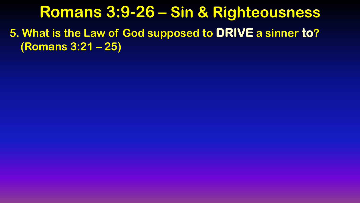**5. What is the Law of God supposed to DRIVE a sinner to? (Romans 3:21 – 25)**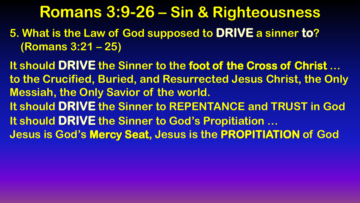**5. What is the Law of God supposed to DRIVE a sinner to? (Romans 3:21 – 25)**

**It should DRIVE the Sinner to the foot of the Cross of Christ … to the Crucified, Buried, and Resurrected Jesus Christ, the Only Messiah, the Only Savior of the world. It should DRIVE the Sinner to REPENTANCE and TRUST in God It should DRIVE the Sinner to God's Propitiation … Jesus is God's Mercy Seat, Jesus is the PROPITIATION of God**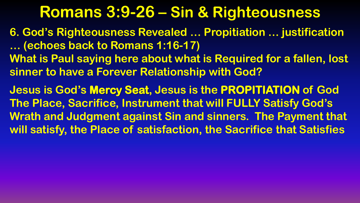**6. God's Righteousness Revealed … Propitiation … justification … (echoes back to Romans 1:16-17) What is Paul saying here about what is Required for a fallen, lost sinner to have a Forever Relationship with God?**

**Jesus is God's Mercy Seat, Jesus is the PROPITIATION of God The Place, Sacrifice, Instrument that will FULLY Satisfy God's Wrath and Judgment against Sin and sinners. The Payment that will satisfy, the Place of satisfaction, the Sacrifice that Satisfies**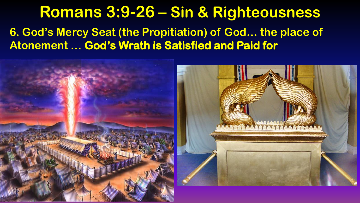#### **6. God's Mercy Seat (the Propitiation) of God… the place of Atonement … God's Wrath is Satisfied and Paid for**

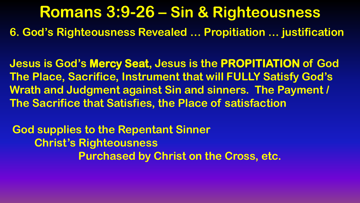**6. God's Righteousness Revealed … Propitiation … justification**

**Jesus is God's Mercy Seat, Jesus is the PROPITIATION of God The Place, Sacrifice, Instrument that will FULLY Satisfy God's Wrath and Judgment against Sin and sinners. The Payment / The Sacrifice that Satisfies, the Place of satisfaction**

**God supplies to the Repentant Sinner Christ's Righteousness Purchased by Christ on the Cross, etc.**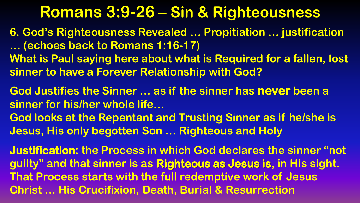**6. God's Righteousness Revealed … Propitiation … justification … (echoes back to Romans 1:16-17) What is Paul saying here about what is Required for a fallen, lost sinner to have a Forever Relationship with God?**

**God Justifies the Sinner … as if the sinner has never been a sinner for his/her whole life…**

**God looks at the Repentant and Trusting Sinner as if he/she is Jesus, His only begotten Son … Righteous and Holy**

**Justification: the Process in which God declares the sinner "not guilty" and that sinner is as Righteous as Jesus is, in His sight. That Process starts with the full redemptive work of Jesus Christ … His Crucifixion, Death, Burial & Resurrection**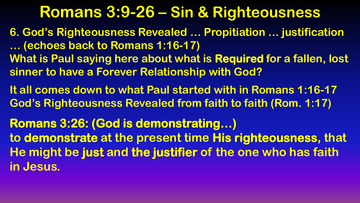- **6. God's Righteousness Revealed … Propitiation … justification … (echoes back to Romans 1:16-17) What is Paul saying here about what is Required for a fallen, lost sinner to have a Forever Relationship with God?**
- **It all comes down to what Paul started with in Romans 1:16-17 God's Righteousness Revealed from faith to faith (Rom. 1:17)**
- **Romans 3:26: (God is demonstrating…) to demonstrate at the present time His righteousness, that He might be just and the justifier of the one who has faith in Jesus.**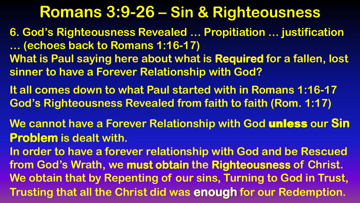- **6. God's Righteousness Revealed … Propitiation … justification … (echoes back to Romans 1:16-17) What is Paul saying here about what is Required for a fallen, lost sinner to have a Forever Relationship with God?**
- **It all comes down to what Paul started with in Romans 1:16-17 God's Righteousness Revealed from faith to faith (Rom. 1:17)**
- **We cannot have a Forever Relationship with God** unless **our Sin Problem is dealt with.**
- **In order to have a forever relationship with God and be Rescued from God's Wrath, we must obtain the Righteousness of Christ. We obtain that by Repenting of our sins, Turning to God in Trust, Trusting that all the Christ did was enough for our Redemption.**